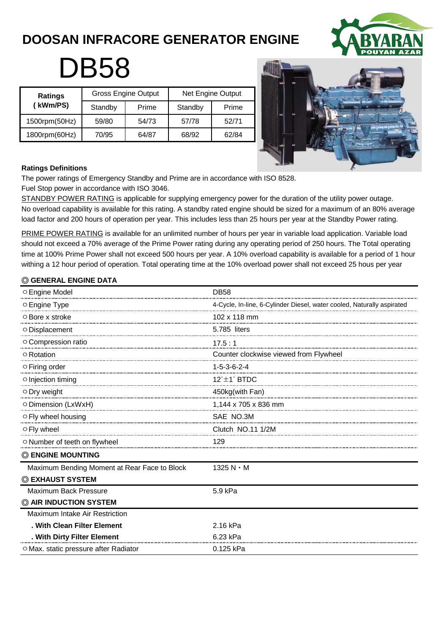# **DOOSAN INFRACORE GENERATOR ENGINE**



# **DB58**

| <b>Ratings</b><br>(kWm/PS) |         | <b>Gross Engine Output</b> | Net Engine Output |       |  |
|----------------------------|---------|----------------------------|-------------------|-------|--|
|                            | Standby | Prime                      | Standby           | Prime |  |
| 1500rpm(50Hz)              | 59/80   | 54/73                      | 57/78             | 52/71 |  |
| 1800rpm(60Hz)              | 70/95   | 64/87                      | 68/92             | 62/84 |  |



#### **Ratings Definitions**

The power ratings of Emergency Standby and Prime are in accordance with ISO 8528. Fuel Stop power in accordance with ISO 3046.

STANDBY POWER RATING is applicable for supplying emergency power for the duration of the utility power outage. No overload capability is available for this rating. A standby rated engine should be sized for a maximum of an 80% average load factor and 200 hours of operation per year. This includes less than 25 hours per year at the Standby Power rating.

PRIME POWER RATING is available for an unlimited number of hours per year in variable load application. Variable load should not exceed a 70% average of the Prime Power rating during any operating period of 250 hours. The Total operating time at 100% Prime Power shall not exceed 500 hours per year. A 10% overload capability is available for a period of 1 hour withing a 12 hour period of operation. Total operating time at the 10% overload power shall not exceed 25 hous per year

# ◎ **GENERAL ENGINE DATA**

| O Engine Model                               | <b>DB58</b>                                                            |
|----------------------------------------------|------------------------------------------------------------------------|
| ○ Engine Type                                | 4-Cycle, In-line, 6-Cylinder Diesel, water cooled, Naturally aspirated |
| $\circ$ Bore x stroke                        | 102 x 118 mm                                                           |
| O Displacement                               | 5.785 liters                                                           |
| O Compression ratio                          | 17.5:1                                                                 |
| ○ Rotation                                   | Counter clockwise viewed from Flywheel                                 |
| $\circ$ Firing order                         | $1 - 5 - 3 - 6 - 2 - 4$                                                |
| ○ Injection timing                           | $12^{\circ}$ ±1 $^{\circ}$ BTDC                                        |
| $\circ$ Dry weight                           | 450kg(with Fan)                                                        |
| O Dimension (LxWxH)                          |                                                                        |
| ○ Fly wheel housing                          | SAE NO.3M                                                              |
| ○ Fly wheel                                  | Clutch NO.11 1/2M                                                      |
| O Number of teeth on flywheel                | 129                                                                    |
| <b>© ENGINE MOUNTING</b>                     |                                                                        |
| Maximum Bending Moment at Rear Face to Block | 1325 $N \cdot M$                                                       |
| © EXHAUST SYSTEM                             |                                                                        |
| Maximum Back Pressure                        | 5.9 kPa                                                                |
| C AIR INDUCTION SYSTEM                       |                                                                        |
| Maximum Intake Air Restriction               |                                                                        |
| . With Clean Filter Element                  | 2.16 kPa                                                               |
| . With Dirty Filter Element                  | 6.23 kPa                                                               |
| ○ Max. static pressure after Radiator        | 0.125 kPa                                                              |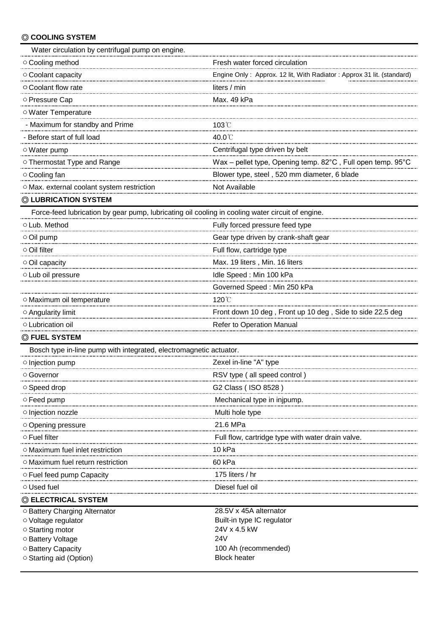# ◎ **COOLING SYSTEM**

| Water circulation by centrifugal pump on engine.                                                 |                                                                       |
|--------------------------------------------------------------------------------------------------|-----------------------------------------------------------------------|
| O Cooling method                                                                                 | Fresh water forced circulation                                        |
| O Coolant capacity                                                                               | Engine Only: Approx. 12 lit, With Radiator: Approx 31 lit. (standard) |
| ○ Coolant flow rate                                                                              | liters / min                                                          |
| O Pressure Cap                                                                                   | Max. 49 kPa                                                           |
| ○ Water Temperature                                                                              |                                                                       |
| - Maximum for standby and Prime                                                                  | $103^{\circ}$ C                                                       |
| - Before start of full load                                                                      | 40.0℃                                                                 |
| $\circ$ Water pump                                                                               | Centrifugal type driven by belt                                       |
| O Thermostat Type and Range                                                                      | Wax - pellet type, Opening temp. 82°C, Full open temp. 95°C           |
| ○ Cooling fan                                                                                    | Blower type, steel, 520 mm diameter, 6 blade                          |
| O Max. external coolant system restriction                                                       | Not Available                                                         |
| © LUBRICATION SYSTEM                                                                             |                                                                       |
| Force-feed lubrication by gear pump, lubricating oil cooling in cooling water circuit of engine. |                                                                       |
| O Lub. Method                                                                                    | Fully forced pressure feed type                                       |
| $\circ$ Oil pump                                                                                 | Gear type driven by crank-shaft gear                                  |
| $\circ$ Oil filter                                                                               | Full flow, cartridge type                                             |
| Oil capacity                                                                                     | Max. 19 liters, Min. 16 liters                                        |
| O Lub oil pressure                                                                               | Idle Speed: Min 100 kPa                                               |
|                                                                                                  | Governed Speed: Min 250 kPa                                           |
| O Maximum oil temperature                                                                        | 120°C                                                                 |
| ○ Angularity limit                                                                               | Front down 10 deg, Front up 10 deg, Side to side 22.5 deg             |
| O Lubrication oil                                                                                | Refer to Operation Manual                                             |
| © FUEL SYSTEM                                                                                    |                                                                       |
| Bosch type in-line pump with integrated, electromagnetic actuator.                               |                                                                       |
| ○ Injection pump                                                                                 | Zexel in-line "A" type                                                |
| ○ Governor                                                                                       | RSV type (all speed control)                                          |
| ○ Speed drop                                                                                     | G2 Class (ISO 8528)                                                   |
| $\circ$ Feed pump                                                                                |                                                                       |
|                                                                                                  |                                                                       |
|                                                                                                  | 21.6 MPa                                                              |
| $\circ$ Fuel filter                                                                              |                                                                       |
| O Maximum fuel inlet restriction                                                                 | 10 kPa                                                                |
| $\circ$ Maximum fuel return restriction                                                          | 60 kPa                                                                |
|                                                                                                  | 175 liters / hr                                                       |
| $\circ$ Used fuel                                                                                | Diesel fuel oil                                                       |
| © ELECTRICAL SYSTEM                                                                              |                                                                       |
| O Battery Charging Alternator                                                                    | 28.5V x 45A alternator                                                |
| ○ Voltage regulator                                                                              | Built-in type IC regulator                                            |
| ○ Starting motor                                                                                 | 24V x 4.5 kW<br>24V                                                   |
| O Battery Voltage<br>O Battery Capacity                                                          | 100 Ah (recommended)                                                  |
| ○ Starting aid (Option)                                                                          | <b>Block heater</b>                                                   |

 $\circ$  Starting aid (Option)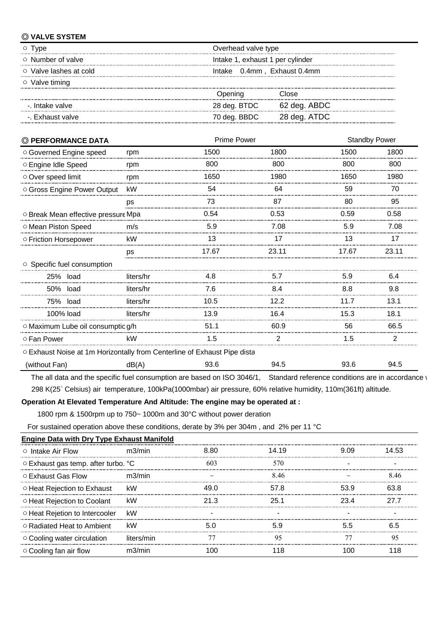# ◎ **VALVE SYSTEM**

| I vpe                        | Overhead valve type              |  |  |
|------------------------------|----------------------------------|--|--|
| $\circ$ Number of valve      | Intake 1, exhaust 1 per cylinder |  |  |
| $\circ$ Valve lashes at cold | Intake 0.4mm, Exhaust 0.4mm      |  |  |
| $\circ$ Valve timing         |                                  |  |  |
|                              | Dpenina<br>?lose                 |  |  |
| -. Intake valve              | 28 deg. BTDC<br>62 deg. ABDC     |  |  |
| - Exhaust valve              | 28 deg. ATDC<br>70 deg. BBDC     |  |  |

| © PERFORMANCE DATA                                                       |           | <b>Prime Power</b> |       | <b>Standby Power</b> |       |
|--------------------------------------------------------------------------|-----------|--------------------|-------|----------------------|-------|
| O Governed Engine speed                                                  | rpm       | 1500               | 1800  | 1500                 | 1800  |
| ○ Engine Idle Speed                                                      | rpm       | 800                | 800   | 800                  | 800   |
| Over speed limit                                                         | rpm       | 1650               | 1980  | 1650                 | 1980  |
| O Gross Engine Power Output                                              | kW        | 54                 | 64    | 59                   | 70    |
|                                                                          | ps<br>    | 73                 | 87    | 80                   | 95    |
| O Break Mean effective pressure Mpa                                      |           | 0.54               | 0.53  | 0.59                 | 0.58  |
| O Mean Piston Speed                                                      | m/s       | 5.9                | 7.08  | 5.9                  | 7.08  |
| ○ Friction Horsepower                                                    | kW        | 13                 | 17    | 13                   |       |
|                                                                          | ps        | 17.67              | 23.11 | 17.67                | 23.11 |
| ○ Specific fuel consumption                                              |           |                    |       |                      |       |
| 25% load                                                                 | liters/hr | 4.8                | 5.7   | 5.9                  | 6.4   |
| 50% load                                                                 | liters/hr | 7.6                | 8.4   | 8.8                  | 9.8   |
| 75% load                                                                 | liters/hr | 10.5               | 12.2  | 11.7                 | 13.1  |
| 100% load                                                                | liters/hr | 13.9               | 16.4  | 15.3                 | 18.1  |
| ○ Maximum Lube oil consumptic g/h                                        |           | 51.1               | 60.9  | 56                   | 66.5  |
| ○ Fan Power                                                              | kW        | 1.5                | 2     | 1.5                  |       |
| O Exhaust Noise at 1m Horizontally from Centerline of Exhaust Pipe dista |           |                    |       |                      |       |
| (without Fan)                                                            | dB(A)     | 93.6               | 94.5  | 93.6                 | 94.5  |

The all data and the specific fuel consumption are based on ISO 3046/1, Standard reference conditions are in accordance v 298 K(25˚ Celsius) air temperature, 100kPa(1000mbar) air pressure, 60% relative humidity, 110m(361ft) altitude.

#### **Operation At Elevated Temperature And Altitude: The engine may be operated at :**

1800 rpm & 1500rpm up to 750~ 1000m and 30°C without power deration

For sustained operation above these conditions, derate by 3% per 304m , and 2% per 11 °C

| <b>Engine Data with Dry Type Exhaust Manifold</b> |            |      |       |       |       |
|---------------------------------------------------|------------|------|-------|-------|-------|
| $\circ$ Intake Air Flow                           | m3/min     | 8.80 | 14 19 | 909   | 14.53 |
| ○ Exhaust gas temp. after turbo. °C               |            | 603  | 570   |       |       |
| ○ Exhaust Gas Flow                                | m3/min     |      | 8 46  |       |       |
| ○ Heat Rejection to Exhaust                       | kW         | 49 N | 578   | 53 Q  | 63 R  |
| ○ Heat Rejection to Coolant                       | kW         | 21 R | 25.1  | 234   | 27 7  |
| ○ Heat Rejetion to Intercooler                    | kW         |      |       |       |       |
| ○ Radiated Heat to Ambient                        | kW         |      |       |       |       |
| $\circ$ Cooling water circulation                 | liters/min |      | 95    |       |       |
| $\circ$ Cooling fan air flow                      | m3/min     |      | 118   | 1 U N | 118   |